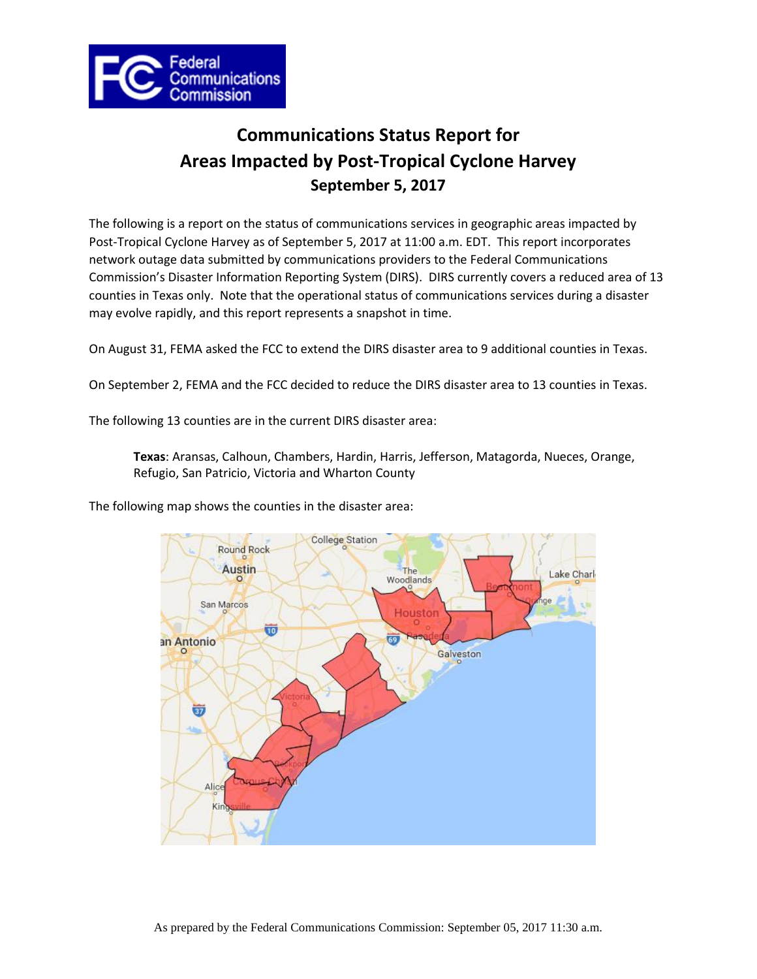

# **Communications Status Report for Areas Impacted by Post-Tropical Cyclone Harvey September 5, 2017**

The following is a report on the status of communications services in geographic areas impacted by Post-Tropical Cyclone Harvey as of September 5, 2017 at 11:00 a.m. EDT. This report incorporates network outage data submitted by communications providers to the Federal Communications Commission's Disaster Information Reporting System (DIRS). DIRS currently covers a reduced area of 13 counties in Texas only. Note that the operational status of communications services during a disaster may evolve rapidly, and this report represents a snapshot in time.

On August 31, FEMA asked the FCC to extend the DIRS disaster area to 9 additional counties in Texas.

On September 2, FEMA and the FCC decided to reduce the DIRS disaster area to 13 counties in Texas.

The following 13 counties are in the current DIRS disaster area:

**Texas**: Aransas, Calhoun, Chambers, Hardin, Harris, Jefferson, Matagorda, Nueces, Orange, Refugio, San Patricio, Victoria and Wharton County

The following map shows the counties in the disaster area:

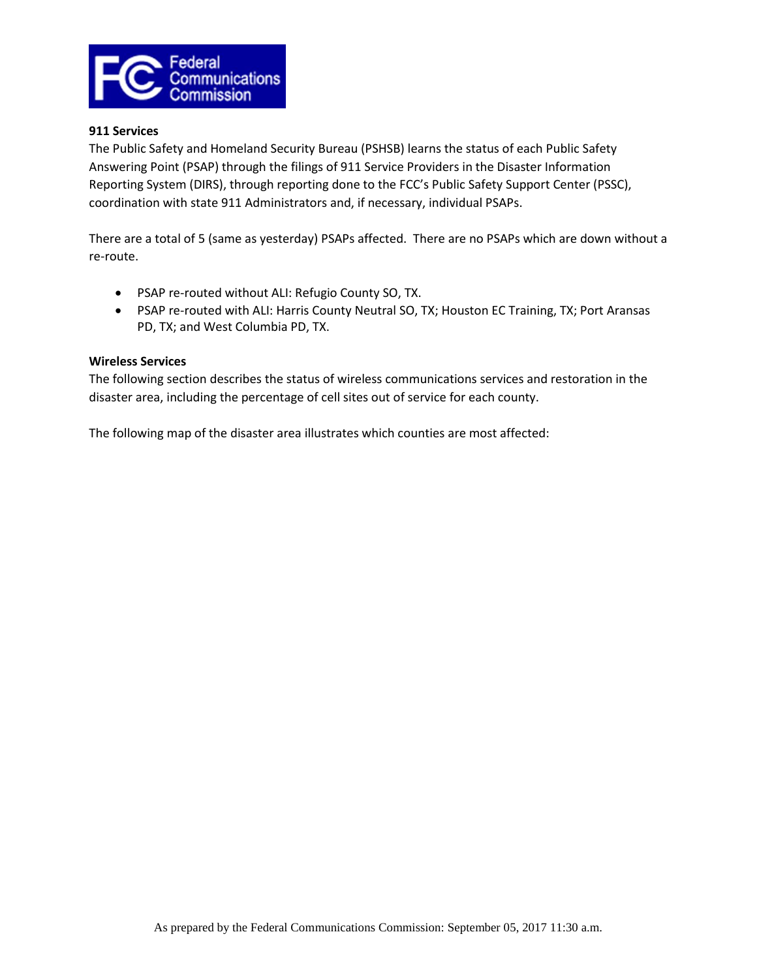

### **911 Services**

The Public Safety and Homeland Security Bureau (PSHSB) learns the status of each Public Safety Answering Point (PSAP) through the filings of 911 Service Providers in the Disaster Information Reporting System (DIRS), through reporting done to the FCC's Public Safety Support Center (PSSC), coordination with state 911 Administrators and, if necessary, individual PSAPs.

There are a total of 5 (same as yesterday) PSAPs affected. There are no PSAPs which are down without a re-route.

- PSAP re-routed without ALI: Refugio County SO, TX.
- PSAP re-routed with ALI: Harris County Neutral SO, TX; Houston EC Training, TX; Port Aransas PD, TX; and West Columbia PD, TX.

### **Wireless Services**

The following section describes the status of wireless communications services and restoration in the disaster area, including the percentage of cell sites out of service for each county.

The following map of the disaster area illustrates which counties are most affected: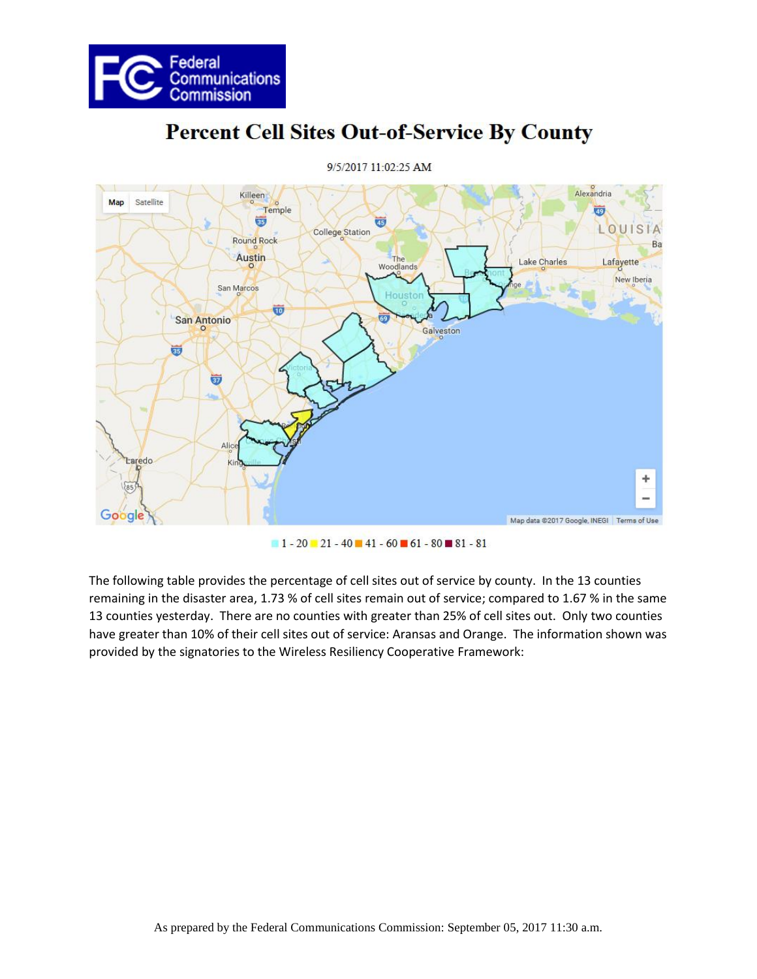



# **Percent Cell Sites Out-of-Service By County**

9/5/2017 11:02:25 AM

 $1 - 20 - 21 - 40 - 41 - 60 - 61 - 80 - 81 - 81$ 

The following table provides the percentage of cell sites out of service by county. In the 13 counties remaining in the disaster area, 1.73 % of cell sites remain out of service; compared to 1.67 % in the same 13 counties yesterday. There are no counties with greater than 25% of cell sites out. Only two counties have greater than 10% of their cell sites out of service: Aransas and Orange. The information shown was provided by the signatories to the Wireless Resiliency Cooperative Framework: